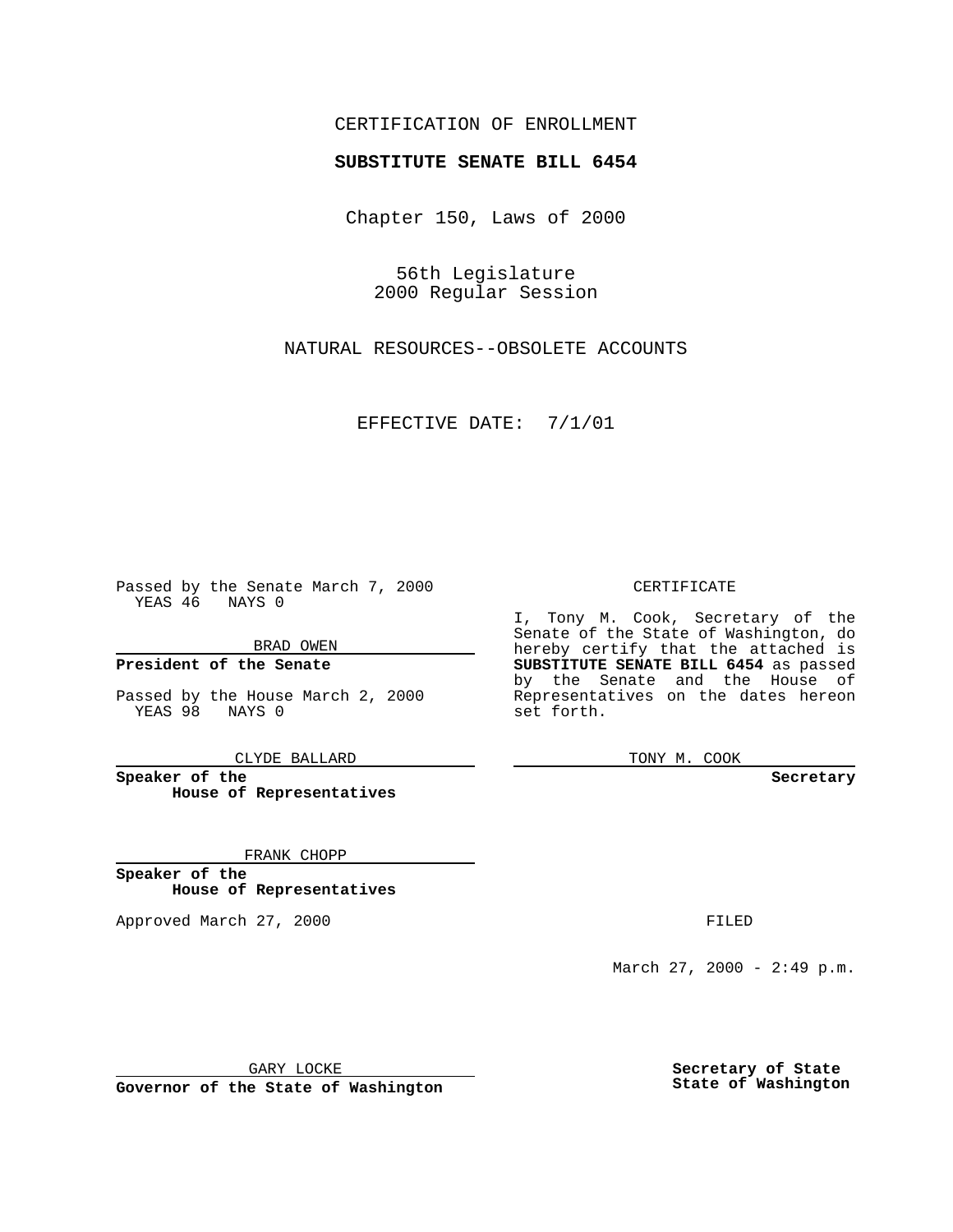### CERTIFICATION OF ENROLLMENT

# **SUBSTITUTE SENATE BILL 6454**

Chapter 150, Laws of 2000

56th Legislature 2000 Regular Session

NATURAL RESOURCES--OBSOLETE ACCOUNTS

EFFECTIVE DATE: 7/1/01

Passed by the Senate March 7, 2000 YEAS 46 NAYS 0

BRAD OWEN

**President of the Senate**

Passed by the House March 2, 2000 YEAS 98 NAYS 0

CLYDE BALLARD

**Speaker of the House of Representatives**

FRANK CHOPP

**Speaker of the House of Representatives**

Approved March 27, 2000 FILED

#### CERTIFICATE

I, Tony M. Cook, Secretary of the Senate of the State of Washington, do hereby certify that the attached is **SUBSTITUTE SENATE BILL 6454** as passed by the Senate and the House of Representatives on the dates hereon set forth.

TONY M. COOK

**Secretary**

March 27, 2000 - 2:49 p.m.

GARY LOCKE

**Governor of the State of Washington**

**Secretary of State State of Washington**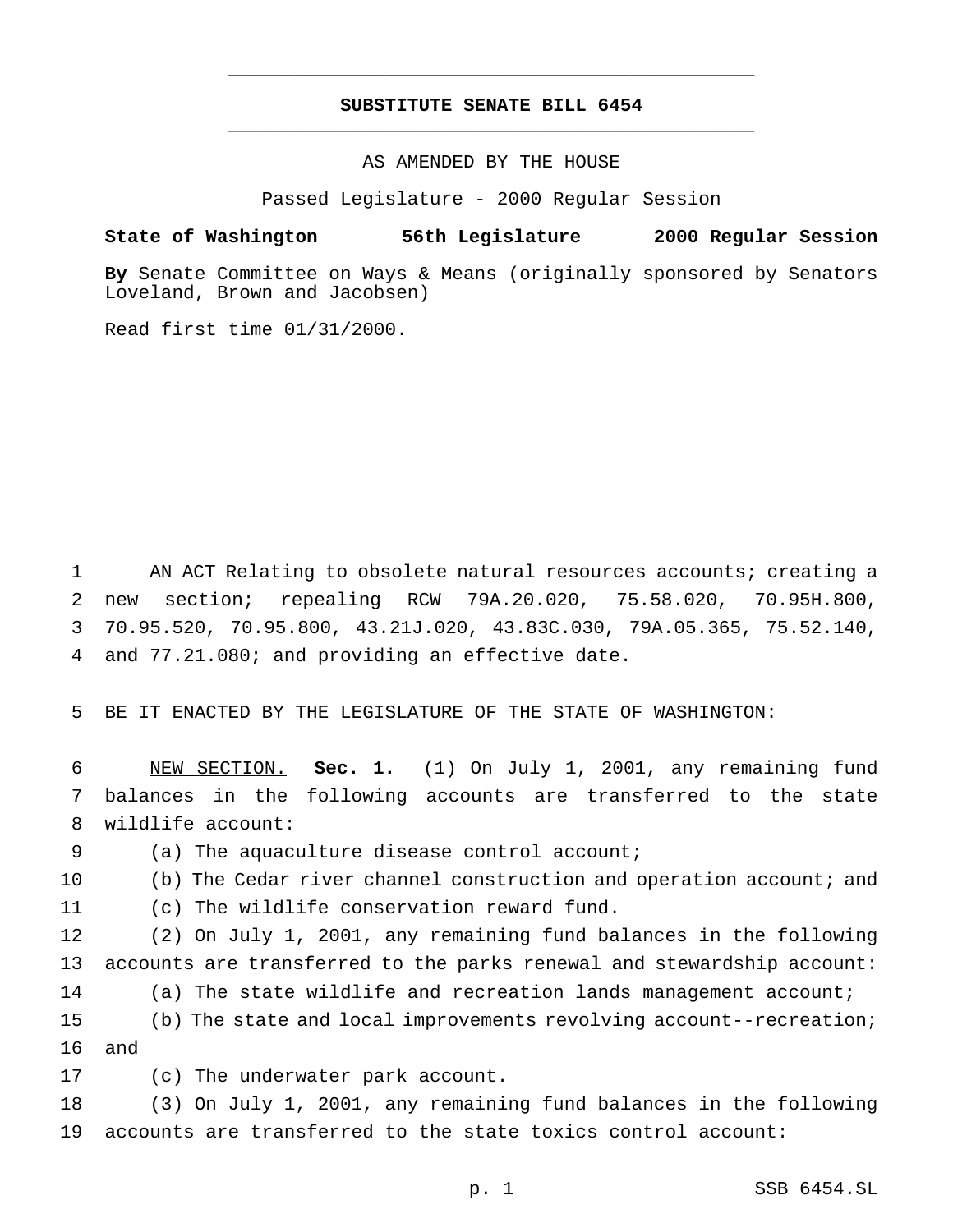## **SUBSTITUTE SENATE BILL 6454** \_\_\_\_\_\_\_\_\_\_\_\_\_\_\_\_\_\_\_\_\_\_\_\_\_\_\_\_\_\_\_\_\_\_\_\_\_\_\_\_\_\_\_\_\_\_\_

\_\_\_\_\_\_\_\_\_\_\_\_\_\_\_\_\_\_\_\_\_\_\_\_\_\_\_\_\_\_\_\_\_\_\_\_\_\_\_\_\_\_\_\_\_\_\_

AS AMENDED BY THE HOUSE

Passed Legislature - 2000 Regular Session

### **State of Washington 56th Legislature 2000 Regular Session**

**By** Senate Committee on Ways & Means (originally sponsored by Senators Loveland, Brown and Jacobsen)

Read first time 01/31/2000.

 AN ACT Relating to obsolete natural resources accounts; creating a new section; repealing RCW 79A.20.020, 75.58.020, 70.95H.800, 70.95.520, 70.95.800, 43.21J.020, 43.83C.030, 79A.05.365, 75.52.140, and 77.21.080; and providing an effective date.

BE IT ENACTED BY THE LEGISLATURE OF THE STATE OF WASHINGTON:

 NEW SECTION. **Sec. 1.** (1) On July 1, 2001, any remaining fund balances in the following accounts are transferred to the state wildlife account:

(a) The aquaculture disease control account;

(b) The Cedar river channel construction and operation account; and

(c) The wildlife conservation reward fund.

 (2) On July 1, 2001, any remaining fund balances in the following accounts are transferred to the parks renewal and stewardship account: (a) The state wildlife and recreation lands management account; (b) The state and local improvements revolving account--recreation;

and

(c) The underwater park account.

 (3) On July 1, 2001, any remaining fund balances in the following accounts are transferred to the state toxics control account: